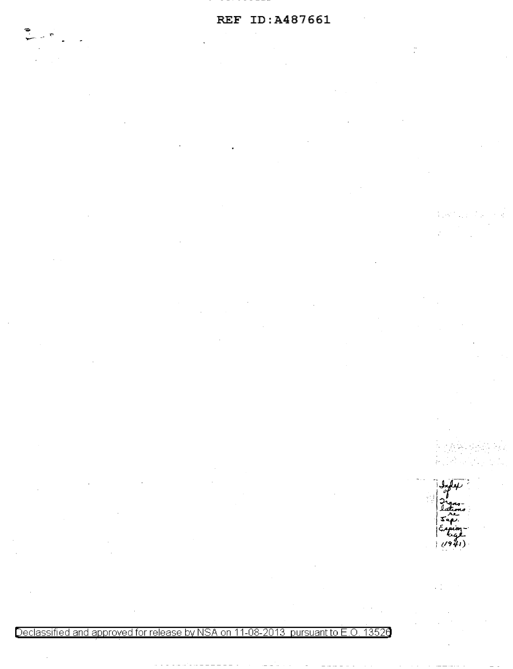Declassified and approved for release by NSA on 11-08-2013 pursuant to E .0. 1352a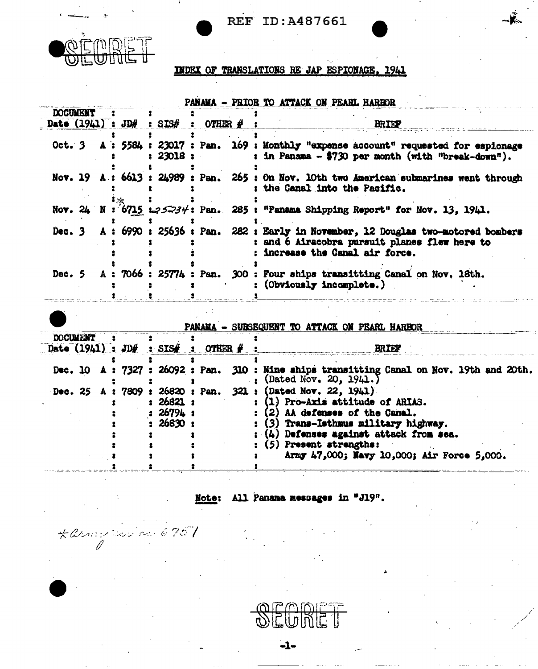



\* anny tris av 6757

**INDEX OF TRANSLATIONS RE JAP ESPIONAGE, 1941** 

| <b>DOCUMENT</b> |  |           |                                     | FARAMA - FILUR IV ALIAVA UN FEARL RARDUR                                                                                                                               |
|-----------------|--|-----------|-------------------------------------|------------------------------------------------------------------------------------------------------------------------------------------------------------------------|
|                 |  |           | Date $(1941)$ : JD#: SIS#: OTHER #: | <b>BRIEF</b>                                                                                                                                                           |
|                 |  | : 23018 : |                                     | Oct. 3 A : 5584 : 23017 : Pan. 169 : Monthly "expense account" requested for espionage<br>: in Panama - \$730 per month (with "break-down").                           |
|                 |  |           |                                     | Nov. 19 A: 6613: 24989: Pan. 265: On Nov. 10th two American submarines went through<br>: the Canal into the Pacific.                                                   |
|                 |  |           |                                     | Nov. 24 N : 6715 $\text{L}$ 35234: Pan. 285: "Panama Shipping Report" for Nov. 13, 1941.                                                                               |
|                 |  |           |                                     | Dec. 3 A: 6990: 25636: Pan. 282: Early in November, 12 Douglas two-motored bombers<br>: and 6 Airacobra pursuit planes flew here to<br>: increase the Canal air force. |
|                 |  |           |                                     | Dec. 5 A: 7066: 25774: Pan. 300: Four ships transitting Canal on Nov. 18th.<br>: (Obviously incomplete.)                                                               |

|                                     |                                  | . | JULIUSTAJA IV AILAVA VR FIRIN IMINUS                                                                                                                                                                                                                   |
|-------------------------------------|----------------------------------|---|--------------------------------------------------------------------------------------------------------------------------------------------------------------------------------------------------------------------------------------------------------|
| <b>DOCUMENT</b>                     |                                  |   |                                                                                                                                                                                                                                                        |
| Date $(1941)$ : JD#: SIS#: OTHER #: |                                  |   | <b>BRIEF</b>                                                                                                                                                                                                                                           |
|                                     |                                  |   | Dec. 10 A: 7327: 26092: Pan. 310: Nine ships transitting Canal on Nov. 19th and 20th.<br>(Dated Nov. 20, 1941.)                                                                                                                                        |
| Dec. 25 A: 7809: 26820: Pan.        | : 26821 :<br>26794;<br>: 26830 : |   | $321:$ (Dated Nov. 22, 1941)<br>(1) Pro-Axis attitude of ARIAS.<br>(2) AA defenses of the Canal.<br>(3) Trans-Isthmus military highway.<br>: (4) Defenses against attack from sea.<br>Present strengths:<br>Army 47,000; Navy 10,000; Air Force 5,000. |

### Note: All Panama messages in "J19".

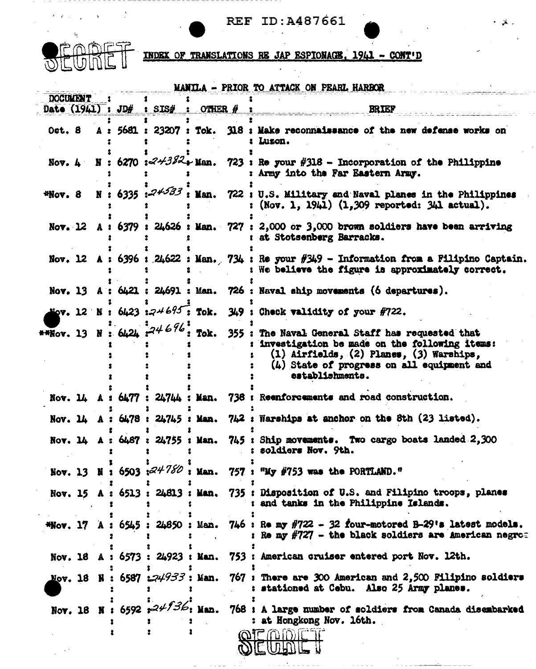---------



 $\sim$ 

INDEX OF TRANSLATIONS RE JAP ESPIONAGE, 1941 - CONT'D

|                 |  |                                         |        |      | MANILA - PRIOR TO ATTACK ON PEARL HARBOR                                                                                                                                                                     |
|-----------------|--|-----------------------------------------|--------|------|--------------------------------------------------------------------------------------------------------------------------------------------------------------------------------------------------------------|
| <b>DOCUMENT</b> |  | Date $(1941)$ : JD# : SIS# : OTHER #    |        |      | <b>BRIEF</b>                                                                                                                                                                                                 |
|                 |  | Oct. 8 A: 5681: 23207: Tok.             |        |      | 318 : Make reconnaissance of the new defense works on<br>: Luzon.                                                                                                                                            |
|                 |  | Nov. 4 N : 6270 : $24382 +$ Man.        |        |      | $723$ : Re your $\#318$ - Incorporation of the Philippine<br>: Army into the Far Eastern Army.                                                                                                               |
| *Nov. 8         |  | N: 6335: 24533                          | : Man. |      | 722: U.S. Military and Naval planes in the Philippines<br>$(Nov. 1, 1941)$ $(1, 309$ reported: $341$ actual).                                                                                                |
|                 |  |                                         |        |      | Nov. 12 A: 6379: 24626: Man. 727: 2,000 or 3,000 brown soldiers have been arriving<br>at Stotsenberg Barracks.                                                                                               |
|                 |  |                                         |        |      | Nov. 12 A: 6396: 24622: Man. 734: Re your $\beta$ 349 - Information from a Filipino Captain.<br>: We believe the figure is approximately correct.                                                            |
|                 |  |                                         |        |      | Nov. 13 A : 6421 : 24691 : Man. 726 : Naval ship movements (6 departures).                                                                                                                                   |
|                 |  | Nov. 12 N : 6423 : $24695$ : Tok.       |        |      | $349$ : Check validity of your $\#722$ .                                                                                                                                                                     |
|                 |  | <b>**Nov.</b> 13 N: 6424 $74676$ : Tok. |        | 355: | The Naval General Staff has requested that<br>: investigation be made on the following items:<br>(1) Airfields, (2) Planes, (3) Warships,<br>$(4)$ State of progress on all equipment and<br>establishments. |
|                 |  |                                         |        |      | Nov. 14 A: 6477: 24744: Man. 738: Reenforcements and road construction.                                                                                                                                      |
|                 |  |                                         |        |      | Nov. 14 A: $6478: 24745:$ Man. $742:$ Warships at anchor on the 8th $(23 \text{ listed}).$                                                                                                                   |
|                 |  |                                         |        |      | Nov. $14$ A: $6487$ : $24755$ : Man. $745$ : Ship movements. Two cargo boats landed 2,300<br>soldiers Nov. 9th.                                                                                              |
|                 |  |                                         |        |      | Nov. 13 N : 6503 : $24780$ : Man. 757 : "My #753 was the PORTLAMD."                                                                                                                                          |
|                 |  |                                         |        |      | Nov. 15 A: 6513: 24813: Man. 735: Disposition of U.S. and Filipino troops, planes<br>: and tanks in the Philippine Islands.                                                                                  |
|                 |  |                                         |        |      | *Nov. 17 A: $6545$ : 24850: Man. 746: Re my $\#722$ - 32 four-motored B-29's latest models.<br>: Re my #727 - the black soldiers are American negro=                                                         |
|                 |  |                                         |        |      | Nov. 18 A : 6573 : 24923 : Man. 753 : American cruiser entered port Nov. 12th.                                                                                                                               |
|                 |  |                                         |        |      | Nov. 18 N: 6587 $\mathcal{L}44933$ : Man. 767 : There are 300 American and 2,500 Filipino soldiers<br>: stationed at Cebu. Also 25 Army planes.                                                              |
|                 |  | Nov. 18 N : 6592 $24/36$ : Man.         |        |      | 768 : A large number of soldiers from Canada disembarked<br>: at Hongkong Nov. 16th.                                                                                                                         |
|                 |  |                                         |        |      | OEADET<br>NEWANI                                                                                                                                                                                             |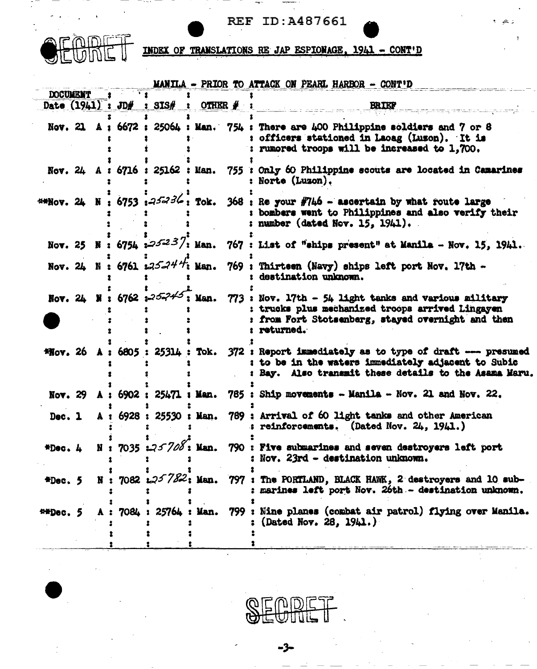ال<del>است.</del> التي تقريب التي تقريب المركز المركز المركز المركز المركز المركز المركز المركز المركز المركز المركز ال<br>المركز المركز المركز المركز المركز المركز المركز المركز المركز المركز المركز المركز المركز المركز المركز المرك



INDEX OF TRANSLATIONS RE JAP ESPIONAGE, 1941 - CONT'D

|                  |                |                                      |  | MANILA - PRIOR TO ATTACK ON PEARL HARBOR - CONT'D                                                                                                                                                                         |
|------------------|----------------|--------------------------------------|--|---------------------------------------------------------------------------------------------------------------------------------------------------------------------------------------------------------------------------|
| <b>DOCUMENT</b>  |                | Date $(1941)$ : JD# : SIS# : OTHER # |  | <b>BRIEF ERIEF</b>                                                                                                                                                                                                        |
|                  |                |                                      |  | Nov. 21 A: $6672$ : 25064: Man. 754: There are 400 Philippine soldiers and 7 or 8<br>: officers stationed in Laoag (Luson). It is<br>: rumored troops will be increased to 1,700.                                         |
|                  |                |                                      |  | Nov. 24 A : 6716 : 25162 : Man. 755 : Only 60 Philippine scouts are located in Camarines<br><b>: Norte (Luzon).</b>                                                                                                       |
|                  |                |                                      |  | **Nov. 24 N : 6753 : $25-36$ : Tok. 368 : Re your #746 - ascertain by what route large<br>: bombers went to Philippines and also verify their<br>: number (dated Nov. $15, 1941$ ).                                       |
|                  |                |                                      |  | Nov. 25 N: 6754 $:25^{23}/$ : Man. 767 : List of "ships present" at Manila - Nov. 15, 1941.                                                                                                                               |
|                  |                |                                      |  | Nov. 24 N: 6761 $:3524\div 1$ : Man. 769 : Thirteen (Navy) ships left port Nov. 17th -<br>: destination unknown.                                                                                                          |
|                  |                |                                      |  | Nov. 24 N: 6762 $x^2$ - $\frac{7}{3}$ Man. 773 : Nov. 17th - 54 light tanks and various military<br>: trucks plus mechanized troops arrived Lingayen<br>: from Fort Stotsenberg, stayed overnight and then<br>: returned. |
|                  |                |                                      |  | *Nov. 26 A: 6805: 25314: Tok. 372: Report immediately as to type of draft --- presumed<br>: to be in the waters immediately adjacent to Subic<br>: Bay. Also transmit these details to the Asama Maru.                    |
|                  |                |                                      |  | Nov. 29 A: 6902: 25471: Man. 785: Ship movements - Manila - Nov. 21 and Nov. 22.                                                                                                                                          |
|                  |                |                                      |  | Dec. 1 A: 6928: 25530: Man. 789: Arrival of 60 light tanks and other American<br>: reinforcements. (Dated Nov. $24$ , 1941.)                                                                                              |
|                  |                |                                      |  | *Dec. 4 N: 7035 : 25708: Man. 790: Five submarines and seven destroyers left port<br>: Nov. 23rd - destination unknown.                                                                                                   |
| $\text{FDec.}$ 5 | $\mathbf{N}$ : | $7082$ $\text{L}25782$ ; Man.        |  | 797 : The PORTLAND, BLACK HAWK, 2 destroyers and 10 sub-<br>: marines left port Nov. 26th - destination unknown.                                                                                                          |
| 440e.5           | A              | 7084: 25764: Man.                    |  | 799 : Nine planes (combat air patrol) flying over Manila.<br>(Dated Nov. 28, 1941.)                                                                                                                                       |
|                  |                |                                      |  |                                                                                                                                                                                                                           |

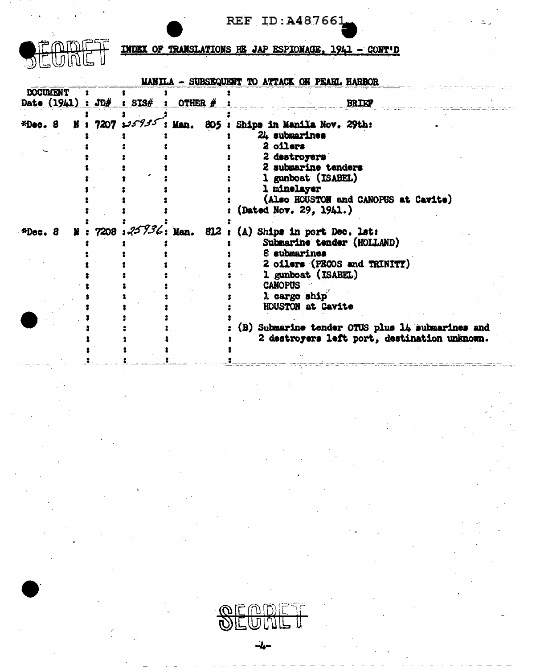

**INDEX OF TRANSLATIONS HE JAP ESPIONAGE, 1941 - CONT'D** 

|                 |    |  |                                        | MANILA - SUBSEQUENT TO ATTACK ON PEARL HARBOR                                                                                                                                                                      |
|-----------------|----|--|----------------------------------------|--------------------------------------------------------------------------------------------------------------------------------------------------------------------------------------------------------------------|
| <b>DOCUMENT</b> |    |  |                                        |                                                                                                                                                                                                                    |
|                 |    |  | Date $(1941) : JD# : SIS# : OTHER # :$ | <b>BRIEF</b>                                                                                                                                                                                                       |
|                 |    |  |                                        | *Dec. 8 N : 7207 : 35935: Man. 805 : Ships in Manila Nov. 29th:<br>24 submarines<br>2 oilers<br>2 destroyers<br>2 submarine tenders<br>1 gunboat (ISABEL)<br>1 minelayer<br>(Also HOUSTON and CANOPUS at Cavite)   |
| $H$ Dec. $B$    | N. |  |                                        | (Dated Nov. 29, 1941.)<br>: 7208 : $25\frac{73}{6}$ : Man. 812 : (A) Ships in port Dec. lst:<br>Submarine tender (HOLLAND)<br>8 submarines<br>2 oilers (PECOS and TRINITY)<br>1 gunboat (ISABEL)<br><b>CANOPUS</b> |
|                 |    |  |                                        | 1 cargo ship<br>HOUSTON at Cavite<br>(B) Submarine tender OTUS plus 14 submarines and<br>2 destroyers left port, destination unknown.                                                                              |

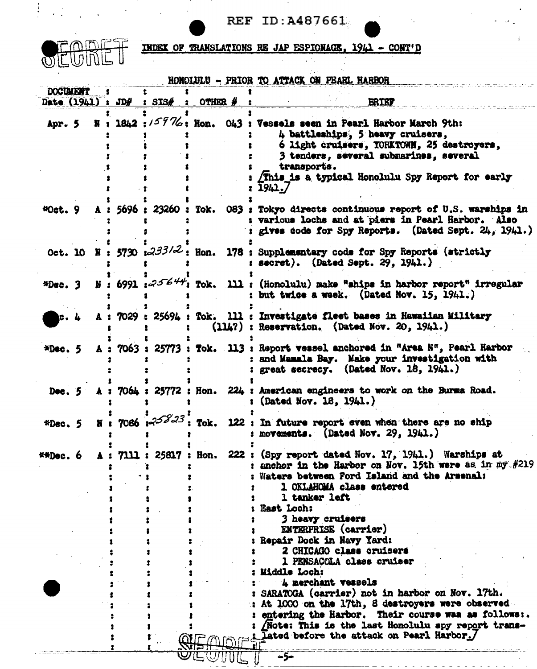$\sim$  100  $\pm$ 



 $\mathcal{L}^{\text{max}}$ 

 $\int_{\mathbb{R}^n} \left| \frac{1}{\sqrt{2}} \right| \, d\mu$ 

INDEX OF TRANSLATIONS RE JAP ESPIONAGE, 1941 - CONT'D

|                 |  |                                    |            |  | HONOLULU - PRIOR TO ATTACK ON PEARL HARBOR                                                                                                                                                                                                                                                                                                                                                                                                                                                                                                                                                                                                                          |  |
|-----------------|--|------------------------------------|------------|--|---------------------------------------------------------------------------------------------------------------------------------------------------------------------------------------------------------------------------------------------------------------------------------------------------------------------------------------------------------------------------------------------------------------------------------------------------------------------------------------------------------------------------------------------------------------------------------------------------------------------------------------------------------------------|--|
| <b>DOCUMENT</b> |  |                                    |            |  |                                                                                                                                                                                                                                                                                                                                                                                                                                                                                                                                                                                                                                                                     |  |
|                 |  | Date $(1941)$ : JD $#$ : SIS $#$ : | OTHER $\#$ |  | <b>BRIEF</b>                                                                                                                                                                                                                                                                                                                                                                                                                                                                                                                                                                                                                                                        |  |
| Apr. 5          |  |                                    |            |  | N : 1842 : $/59\%$ : Hon. 043 : Vessels seen in Pearl Harbor March 9th:<br>4 battleships, 5 heavy cruisers,<br>6 light cruisers, YORKTOWN, 25 destroyers,<br>3 tenders, several submarines, several<br>transports.<br>This is a typical Honolulu Spy Report for early<br>1941./                                                                                                                                                                                                                                                                                                                                                                                     |  |
| $40$ ct. $9$    |  |                                    |            |  | A: 5696 : 23260 : Tok. 083 : Tokyo directs continuous report of U.S. warships in<br>various lochs and at piers in Pearl Harbor. Also<br>gives code for Spy Reports. (Dated Sept. 24, 1941.)                                                                                                                                                                                                                                                                                                                                                                                                                                                                         |  |
|                 |  |                                    |            |  | Oct. 10 N: 5730 $\frac{1.233}{2}$ : Hon. 178 : Supplementary code for Spy Reports (strictly<br>secret). (Dated Sept. 29, $1941.$ )                                                                                                                                                                                                                                                                                                                                                                                                                                                                                                                                  |  |
| $*Dec.3$        |  |                                    |            |  | N: 6991: $25644$ ; Tok. 111: (Honolulu) make "ships in harbor report" irregular<br>but twice a week. (Dated Nov. 15, 1941.)                                                                                                                                                                                                                                                                                                                                                                                                                                                                                                                                         |  |
| c.4             |  |                                    |            |  | A: 7029: 25694: Tok. 111: Investigate fleet bases in Hawaiian Military<br>$(114?)$ : Reservation. (Dated Nov. 20, 1941.)                                                                                                                                                                                                                                                                                                                                                                                                                                                                                                                                            |  |
| $*Dec. 5$       |  |                                    |            |  | A: 7063: 25773: Tok. 113: Report vessel anchored in "Area N", Pearl Harbor<br>: and Mamala Bay. Make your investigation with<br>great secrecy. (Dated Nov. 18, 1941.)                                                                                                                                                                                                                                                                                                                                                                                                                                                                                               |  |
|                 |  |                                    |            |  | Dec. 5 A : 7064 : 25772 : Hon. 224 : American engineers to work on the Burma Road.<br>(Dated Nov. 18, 1941.)                                                                                                                                                                                                                                                                                                                                                                                                                                                                                                                                                        |  |
| $*Dec. 5$       |  | N : 7086 : $25823$ : Tok.          |            |  | 122 : In future report even when there are no ship<br>movements. (Dated Nov. 29, 1941.)                                                                                                                                                                                                                                                                                                                                                                                                                                                                                                                                                                             |  |
| $#H$ Dec. $6$   |  |                                    |            |  | A: 7111: 25817: Hon. 222: (Spy report dated Nov. 17, 1941.) Warships at<br>anchor in the Harbor on Nov. 15th were as in $m\ddot{y} = \frac{H}{2}$<br>Waters between Ford Island and the Arsenal:<br>1 OKLAHOMA class entered<br>1 tanker left<br><b>East Loch:</b><br>3 heavy cruisers<br><b>ENTERPRISE</b> (carrier)<br>Repair Dock in Navy Yard:<br>2 CHICAGO class cruisers<br>1 PENSACOLA class cruiser<br>: Middle Loch:<br>4 merchant vessels<br>SARATOGA (carrier) not in harbor on Nov. 17th.<br>At 1000 on the 17th, 8 destroyers were observed<br>entering the Harbor. Their course was as follows:.<br>Note: This is the last Honolulu spy report trans- |  |
|                 |  |                                    |            |  | Lated before the attack on Pearl Harbor./<br>$-5-$                                                                                                                                                                                                                                                                                                                                                                                                                                                                                                                                                                                                                  |  |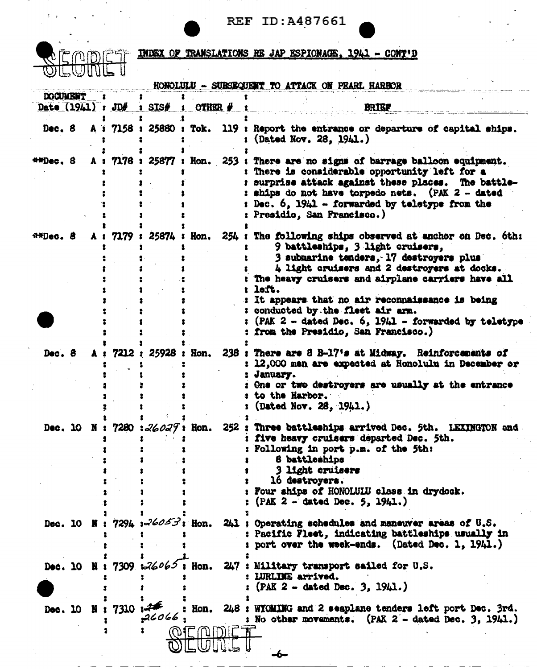OFO

DET INDEX OF TRANSLATIONS RE JAP ESPIONAGE, 1941 - CONT'D

|                 |   |                                     |                                     |              | HONOLULU - SUBSEQUENT TO ATTACK ON PEARL HARBOR                                                                                                                                                                                                                                                                                                                                                                                             |
|-----------------|---|-------------------------------------|-------------------------------------|--------------|---------------------------------------------------------------------------------------------------------------------------------------------------------------------------------------------------------------------------------------------------------------------------------------------------------------------------------------------------------------------------------------------------------------------------------------------|
| <b>DOCUMENT</b> |   | Date $(1941) : J\Box\# : S\Box S\#$ |                                     | OTHER $\#$   | <b>BRIEF</b>                                                                                                                                                                                                                                                                                                                                                                                                                                |
| Dec. 8          |   |                                     |                                     |              | A: 7158: 25880: Tok. 119: Report the entrance or departure of capital ships.<br>(Dated Nov. 28, 1941.)                                                                                                                                                                                                                                                                                                                                      |
| $#H$ Dec. $8$   | A |                                     |                                     |              | : 7176 : 25877 : Hon. 253 : There are no signs of barrage balloon equipment.<br>: There is considerable opportunity left for a<br>: surprise attack against these places. The battle-<br>: ships do not have torpedo nets. (PAK 2 - dated<br>: Dec. 6, 1941 - forwarded by teletype from the<br><b>Presidio, San Francisco.)</b>                                                                                                            |
| **Dec. 8        |   | 7179:                               |                                     | 25874 : Hon. | 254 : The following ships observed at anchor on Dec. 6th:<br>9 battleships, 3 light cruisers,<br>3 submarine tenders, 17 destroyers plus<br>4 light cruisers and 2 destroyers at docks.<br>The heavy cruisers and airplane carriers have all<br>left.<br>: It appears that no air reconnaissance is being<br>: conducted by the fleet air arm.<br>(PAK 2 - dated Dec. 6, 1941 - forwarded by teletype<br>from the Presidio, San Francisco.) |
| Dec. 8          | A |                                     | $7212 : 25928 :$ Ron.               |              | 238 : There are 8 B-17's at Midway. Reinforcements of<br>: 12,000 men are expected at Honolulu in December or<br>: January.<br>One or two destroyers are usually at the entrance<br>to the Harbor.<br>: (Dated Nov. 28, 1941.)                                                                                                                                                                                                              |
|                 |   |                                     |                                     |              | Dec. 10 N : 7280 : 26027 : Hon. 252 : Three battleships arrived Dec. 5th. LEXINGTON and<br>: five heavy cruisers departed Dec. 5th.<br>Following in port p.m. of the 5th:<br>6 battleships<br><b>3 light cruisers</b><br>16 destroyers.<br>Four ships of HONOLULU class in drydock.<br>$(PAK 2 - dated Dec. 5, 1941.)$                                                                                                                      |
|                 |   |                                     | Dec. 10 N: 7294 $3 - 260 - 33$ Hon. |              | 241 : Operating schedules and maneuver areas of U.S.<br>: Pacific Fleet, indicating battleships usually in<br>port over the week-ends. (Dated Dec. 1, 1941.)                                                                                                                                                                                                                                                                                |
|                 |   |                                     | Dec. 10 N: 7309 126065; Hon.        |              | 247 : Military transport sailed for U.S.<br>: LURLINE arrived.<br>$(PAK 2 - dated Dec. 3, 1941.)$                                                                                                                                                                                                                                                                                                                                           |
| Dec. 10         |   | 8:7310                              | 726<br>26066                        | OIE (NID)IE  | Hon. 248 : WICMING and 2 seaplane tenders left port Dec. 3rd.<br>: No other movements. $(PAK 2 - dated Dec. 3, 1941.)$<br>-6-                                                                                                                                                                                                                                                                                                               |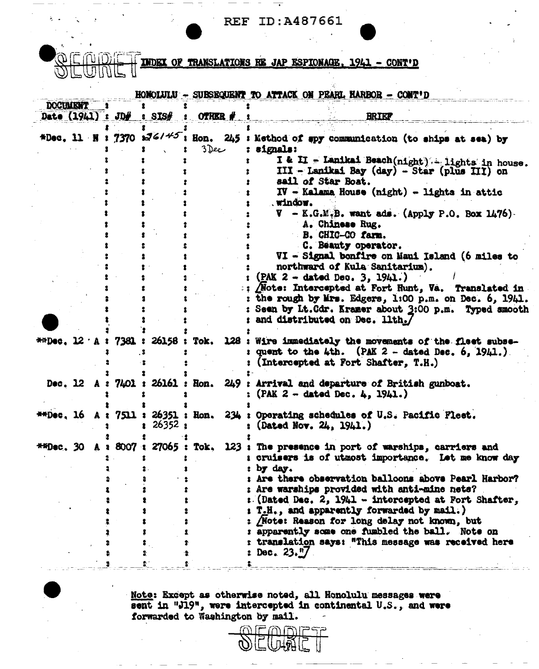**REF ID: A487661** 

**INDEX OF TRANSLATIONS RE JAP ESPIONAGE.** 1941 - CONT'D

|                                        |             |           | HONOLULU - SURSEQUENT TO ATTACK ON PEARL HARBOR - CONT'D                                                                                                                                                                                 |
|----------------------------------------|-------------|-----------|------------------------------------------------------------------------------------------------------------------------------------------------------------------------------------------------------------------------------------------|
| <b>DOCUMENT</b><br>Date $(1941) : JD#$ | $:$ SIS $#$ | OTHER # 1 | <b>BRIEF</b>                                                                                                                                                                                                                             |
| *Dec. 11 N : 7370 $\frac{176145}{1}$   |             | 3 Dee     | i Hon. 245 : Method of spy communication (to ships at sea) by<br>: signals:                                                                                                                                                              |
|                                        |             |           | I & II - Lanikai Beach(night) - lights in house.<br>III - Lanikai Bay (day) - Star (plus III) on<br>sail of Star Boat.                                                                                                                   |
|                                        |             |           | $IV$ - Kalama House (night) - lights in attic<br>. window.<br>$V - K.G.M.B.$ want ads. (Apply P.O. Box 1476).                                                                                                                            |
|                                        |             |           | A. Chinese Rug.<br>B. CHIC-CO farm.                                                                                                                                                                                                      |
|                                        |             |           | C. Beauty operator.<br>VI - Signal bonfire on Maui Island (6 miles to<br>northward of Kula Sanitarium).                                                                                                                                  |
|                                        |             |           | $(PAK 2 - dated Do. 3, 1941.)$<br>Mote: Intercepted at Fort Hunt, Va. Translated in<br>the rough by Mrs. Edgers, 1:00 p.m. on Dec. 6, 1941.<br>: Seen by Lt.Cdr. Kramer about 2:00 p.m. Typed smooth<br>: and distributed on Dec. 11th./ |
|                                        |             |           | **Dec. 12 A : 7381 : 26158 : Tok. 128 : Wire immediately the movements of the fleet subse-<br>: quent to the 4th. (PAK $2-$ dated Dec. 6, 1941.).<br>(Intercepted at Fort Shafter, T.H.)                                                 |
|                                        |             |           | Dec. 12 A : 7401 : 26161 : Hon. 249 : Arrival and departure of British gunboat.<br>: (PAK $2 -$ dated Dec. 4, 1941.)                                                                                                                     |
|                                        | 26352:      |           | **Dec, 16 A: 7511: 26351: Hon. 234: Operating schedules of U.S. Pacific Fleet.<br>: (Dated Nov. $24, 1941.$ )                                                                                                                            |
|                                        |             |           | **Dec. 30 A : 8007 : 27065 : Tok. 123 : The presence in port of warships, carriers and<br>I cruisers is of utmost importance. Let me know day<br>t by day.                                                                               |
|                                        |             |           | : Are there observation balloons above Pearl Harbor?<br>: Are warships provided with anti-mine nets?<br>: (Dated Dec. 2, 1941 - intercepted at Fort Shafter,                                                                             |
|                                        |             |           | : T.H., and apparently forwarded by mail.)<br>: Note: Reason for long delay not known, but<br>: apparently some one fumbled the ball. Note on<br>: translation says: "This message was received here<br>Dec. $23.$ $\frac{1}{2}$         |
|                                        |             |           |                                                                                                                                                                                                                                          |

Note: Except as otherwise noted, all Honolulu messages were<br>sent in "J19", were intercepted in continental U.S., and were<br>forwarded to Washington by mail.

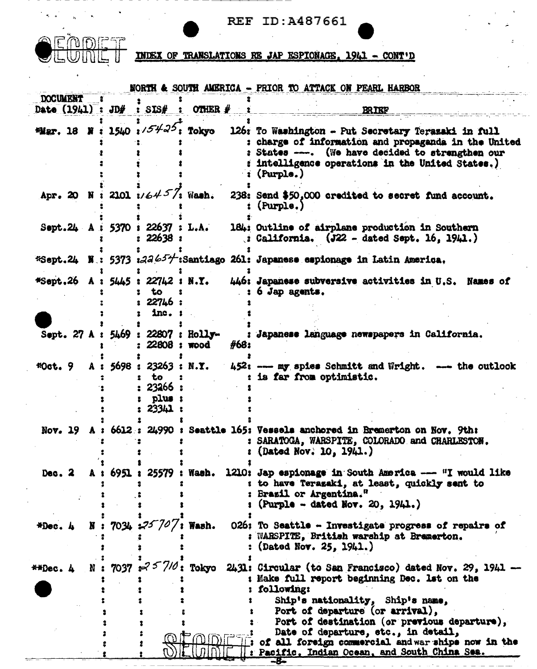

|                     |   |                                                                        |                                 | NORTH & SOUTH AMERICA - PRIOR TO ATTACK ON PEARL HARBOR                                                                                                                                                                                                                                                                                    |
|---------------------|---|------------------------------------------------------------------------|---------------------------------|--------------------------------------------------------------------------------------------------------------------------------------------------------------------------------------------------------------------------------------------------------------------------------------------------------------------------------------------|
| <b>DOCUMENT</b>     |   |                                                                        |                                 |                                                                                                                                                                                                                                                                                                                                            |
| Date $(1941) : JD#$ |   | SIS#                                                                   | OTHER $\#$                      | <b>BRIEF</b>                                                                                                                                                                                                                                                                                                                               |
| <b>Hiar. 18 N</b>   |   | 1540 $\sqrt{5425}$ ; Tokyo                                             |                                 | 126: To Washington - Put Secretary Terazaki in full<br>: charge of information and propaganda in the United<br>: States ---. (We have decided to strengthen our<br>: intelligence operations in the United States.)<br>$\colon$ (Purple.)                                                                                                  |
| Apr. 20 N           |   | : 2101 $1/6457$ ; Wash.                                                |                                 | 238: Send \$50,000 credited to secret fund account.<br>(Purple.)                                                                                                                                                                                                                                                                           |
|                     |   | Sept. 24 A : 5370 i 22637 : L.A.<br>22638:                             |                                 | 184: Outline of airplane production in Southern<br>$\binom{1}{2}$ California. $(J22 - \text{dated Sept. } 16, 1941.)$                                                                                                                                                                                                                      |
|                     |   |                                                                        |                                 | *Sept.24 N : 5373 :22654:Santiago 261: Japanese espionage in Latin America.                                                                                                                                                                                                                                                                |
|                     |   | <b>*Sept.26 A : 5445 : 22742 : N.Y.</b><br>to<br>: 22746 :<br>$1nc.$ : |                                 | 446: Japanese subversive activities in U.S. Names of<br>$: 6$ Jap agents.                                                                                                                                                                                                                                                                  |
|                     |   | Sept. 27 A : 5469 : 22807 : Holly-<br>22808 : wood                     | #68:                            | : Japanese language newspapers in California.                                                                                                                                                                                                                                                                                              |
| $*0$ ot. $9$        | A | 5698 : 23263 : N.Y.<br>to<br>23266 :<br>plus:<br>23341:                |                                 | 452: --- my spies Schmitt and Wright. --- the outlook<br>: is far from optimistic.                                                                                                                                                                                                                                                         |
|                     |   |                                                                        |                                 | Nov. 19 A : 6612 : 24990 : Seattle 165: Vessels anchored in Bremerton on Nov. 9th:<br>: SARATOGA, WARSPITE, COLORADO and CHARLESTON.<br>(Dated Nov. 10, 1941.)                                                                                                                                                                             |
| Dec. 2              |   |                                                                        |                                 | 6951 : 25579 : Wash. 1210: Jap espionage in South America --- "I would like<br>: to have Terazaki, at least, quickly sent to<br><b>Brazil or Argentina."</b><br>(Purple - dated Nov. 20, 1941.)                                                                                                                                            |
| *Dec. A             |   | N: 7034 $25707$ : Wash.                                                |                                 | 026: To Seattle - Investigate progress of repairs of<br>: WARSPITE, British warship at Bremerton.<br>(Dated Nov. 25, 1941.)                                                                                                                                                                                                                |
| **Dec. 4            |   |                                                                        | N: 7037 $\approx$ $7/0$ : Tokyo | 2431: Circular (to San Francisco) dated Nov. 29, 1941<br>: Make full report beginning Dec. Let on the<br>following:<br>Ship's nationality, Ship's name,<br>Port of departure (or arrival),<br>Port of destination (or previous departure),<br>Date of departure, etc., in detail,<br>II: of all foreign commercial andwar ships now in the |
|                     |   |                                                                        |                                 | Pacific, Indian Ocean, and South China Sea.                                                                                                                                                                                                                                                                                                |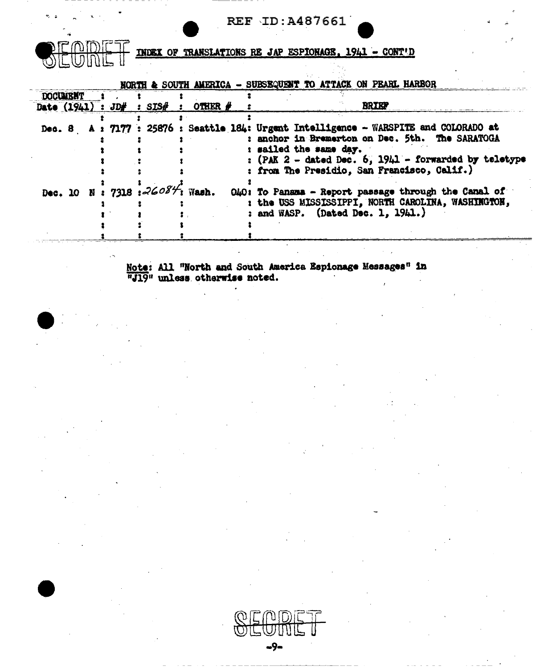| <b>REF ID: A487661</b> |  |  |  |  |
|------------------------|--|--|--|--|
|------------------------|--|--|--|--|

<u>"MDI</u>

**INDEX OF TRANSLATIONS RE JAP ESPIONAGE, 1941 - CONT'D** 

|                 |  |                                 |                                        | NORTH & SOUTH AMERICA - SUBSEQUEST TO ATTACK ON PEARL HARBOR                                                                                                                                                                                                                  |
|-----------------|--|---------------------------------|----------------------------------------|-------------------------------------------------------------------------------------------------------------------------------------------------------------------------------------------------------------------------------------------------------------------------------|
| <b>DOCUMENT</b> |  |                                 |                                        |                                                                                                                                                                                                                                                                               |
|                 |  |                                 | Date $(1941) : JD# : SIS# : OTHEN # :$ | <b>BRIEF</b>                                                                                                                                                                                                                                                                  |
|                 |  |                                 |                                        | Dec. 8 A: 7177 : 25876 : Seattle 184: Urgent Intelligence - WARSPITE and COLORADO at<br>: anchor in Bremerton on Dec. 5th. The SARATOGA<br>: sailed the same day.<br>: $(PAK 2 - data)$ Dec. $6, 1941 - forwarded$ by teletype<br>: from The Presidio, San Francisco, Calif.) |
|                 |  | Dec. 10 N: 7318 : $26084$ Wash. |                                        | O40: To Panama - Report passage through the Canal of<br>: the USS MISSISSIPPI, NORTH CAROLINA, WASHINGTON,<br>: and WASP. (Dated Dec. 1, 1941.)                                                                                                                               |

Note: All "North and South America Espionage Messages" in "J19" unless otherwise noted.

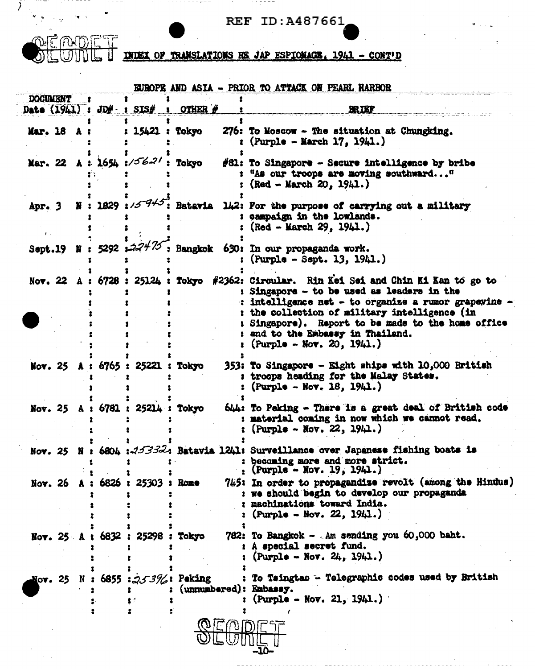$\overline{\mathcal{E}}$ 

 $- - -$ 

. . . - - - <del>.</del> - - .

CONDET INDEX OF TRANSLATIONS RE JAP ESPIONAGE, 1941 - CONT'D

 $\cdots$  - - - -

| Date $(1941)$ : JD $#$ : SIS $#$ |         |                                                                                                                                                                                                                             |                                                                                                                                                                                                                                                                                                                                                                    |
|----------------------------------|---------|-----------------------------------------------------------------------------------------------------------------------------------------------------------------------------------------------------------------------------|--------------------------------------------------------------------------------------------------------------------------------------------------------------------------------------------------------------------------------------------------------------------------------------------------------------------------------------------------------------------|
|                                  | OTHER # |                                                                                                                                                                                                                             | <b>BRIEF</b>                                                                                                                                                                                                                                                                                                                                                       |
|                                  |         |                                                                                                                                                                                                                             | 276: To Moscow - The situation at Chungking.<br>$(Purple - March 17, 1941.)$                                                                                                                                                                                                                                                                                       |
|                                  |         |                                                                                                                                                                                                                             | #81: To Singapore - Secure intelligence by bribe<br>: "As our troops are moving southward"<br>$(Red - March 20, 1941.)$                                                                                                                                                                                                                                            |
|                                  |         |                                                                                                                                                                                                                             | N: 1829: $1/5^{-7/5}$ : Batavia 142: For the purpose of carrying out a military<br>: campaign in the lowlands.<br>$(Red - March 29, 1941.)$                                                                                                                                                                                                                        |
|                                  |         |                                                                                                                                                                                                                             | $(Purpla - Sept. 13, 1941.)$                                                                                                                                                                                                                                                                                                                                       |
|                                  |         |                                                                                                                                                                                                                             | Nov. 22 A: 6728: 25124: Tokyo #2362: Circular. Rin Kei Sei and Chin Ki Kan to go to<br>: Singapore - to be used as leaders in the<br>: intelligence net - to organize a rumor grapevine<br>: the collection of military intelligence (in<br>: Singapore). Report to be made to the home office<br>: and to the Embassy in Thailand.<br>: (Purple - Nov. 20, 1941.) |
|                                  |         |                                                                                                                                                                                                                             | 353: To Singapore - Eight ships with 10,000 British<br>: troops heading for the Malay States.<br>$(Purple - Row, 18, 1941.)$                                                                                                                                                                                                                                       |
|                                  |         |                                                                                                                                                                                                                             | 644: To Peking - There is a great deal of British code<br>: material coming in now which we cannot read.<br>$(Purple - Nov. 22, 1941.)$                                                                                                                                                                                                                            |
|                                  |         |                                                                                                                                                                                                                             | Nov. 25 N : 6804 : 253324 Batavia 1241: Surveillance over Japanese fishing boats is<br>: becoming more and more strict.<br>: (Purple - Nov. 19, 1941.)                                                                                                                                                                                                             |
|                                  |         |                                                                                                                                                                                                                             | 745: In order to propagandise revolt (among the Hindus)<br>: we should begin to develop our propaganda<br>: machinations toward India.<br>$(Purple - Nov. 22, 1941.)$                                                                                                                                                                                              |
|                                  |         |                                                                                                                                                                                                                             | 782: To Bangkok - Am sending you 60,000 baht.<br>A special secret fund.<br>$(Purple - Nor. 24, 1941.)$                                                                                                                                                                                                                                                             |
|                                  |         |                                                                                                                                                                                                                             | To Taingtao - Telegraphic codes used by British<br>$(Purple - Nov. 21, 1941.)$                                                                                                                                                                                                                                                                                     |
|                                  |         | 15421 : Tokyo<br>Mar. 22 A : $1654$ : $/56-21$ : Tokyo<br>Nov. 25 A: 6765: 25221: Tokyo<br>Nov. 25 A : 6781 : 25214 : Tokyo<br>Nov. 26 A: 6826 : 25303 : Rome<br>Nov. 25 A : 6832 : 25298 : Tokyo<br>N: 6855 : 253%: Peking | Sept.19 N : 5292 $\div 27^{1/7}$ , Bangkok 630: In our propaganda work.<br>(unnumbered): Embassy.                                                                                                                                                                                                                                                                  |